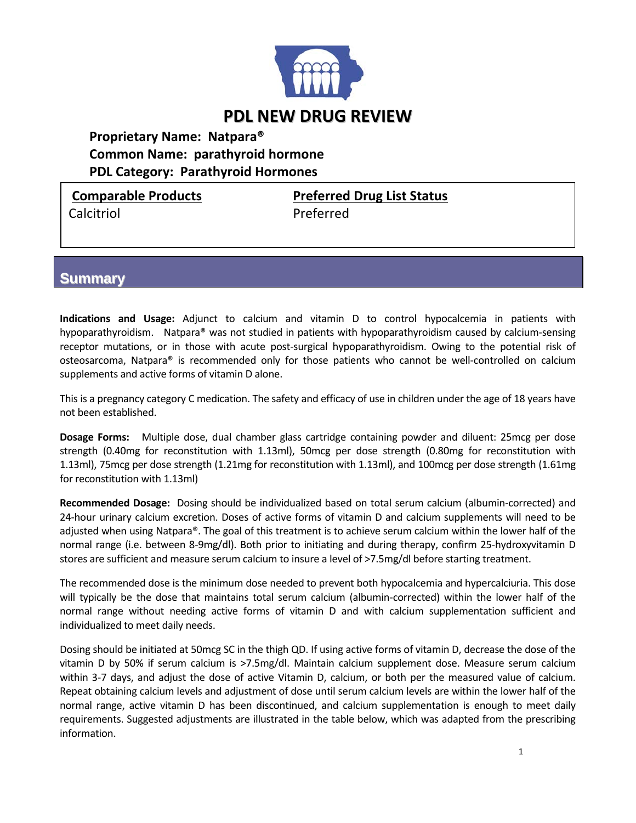

## **PDL NEW DRUG REVIEW**

**Proprietary Name: Natpara® Common Name: parathyroid hormone PDL Category: Parathyroid Hormones**

Calcitriol **Calcitriol Calcitriol** 

**Comparable Products Preferred Drug List Status**

## **Summary**

**Indications and Usage:** Adjunct to calcium and vitamin D to control hypocalcemia in patients with hypoparathyroidism. Natpara® was not studied in patients with hypoparathyroidism caused by calcium-sensing receptor mutations, or in those with acute post-surgical hypoparathyroidism. Owing to the potential risk of osteosarcoma, Natpara® is recommended only for those patients who cannot be well-controlled on calcium supplements and active forms of vitamin D alone.

This is a pregnancy category C medication. The safety and efficacy of use in children under the age of 18 years have not been established.

**Dosage Forms:**  Multiple dose, dual chamber glass cartridge containing powder and diluent: 25mcg per dose strength (0.40mg for reconstitution with 1.13ml), 50mcg per dose strength (0.80mg for reconstitution with 1.13ml), 75mcg per dose strength (1.21mg for reconstitution with 1.13ml), and 100mcg per dose strength (1.61mg for reconstitution with 1.13ml)

**Recommended Dosage:** Dosing should be individualized based on total serum calcium (albumin‐corrected) and 24‐hour urinary calcium excretion. Doses of active forms of vitamin D and calcium supplements will need to be adjusted when using Natpara®. The goal of this treatment is to achieve serum calcium within the lower half of the normal range (i.e. between 8‐9mg/dl). Both prior to initiating and during therapy, confirm 25‐hydroxyvitamin D stores are sufficient and measure serum calcium to insure a level of >7.5mg/dl before starting treatment.

The recommended dose is the minimum dose needed to prevent both hypocalcemia and hypercalciuria. This dose will typically be the dose that maintains total serum calcium (albumin‐corrected) within the lower half of the normal range without needing active forms of vitamin D and with calcium supplementation sufficient and individualized to meet daily needs.

Dosing should be initiated at 50mcg SC in the thigh QD. If using active forms of vitamin D, decrease the dose of the vitamin D by 50% if serum calcium is ˃7.5mg/dl. Maintain calcium supplement dose. Measure serum calcium within 3‐7 days, and adjust the dose of active Vitamin D, calcium, or both per the measured value of calcium. Repeat obtaining calcium levels and adjustment of dose until serum calcium levels are within the lower half of the normal range, active vitamin D has been discontinued, and calcium supplementation is enough to meet daily requirements. Suggested adjustments are illustrated in the table below, which was adapted from the prescribing information.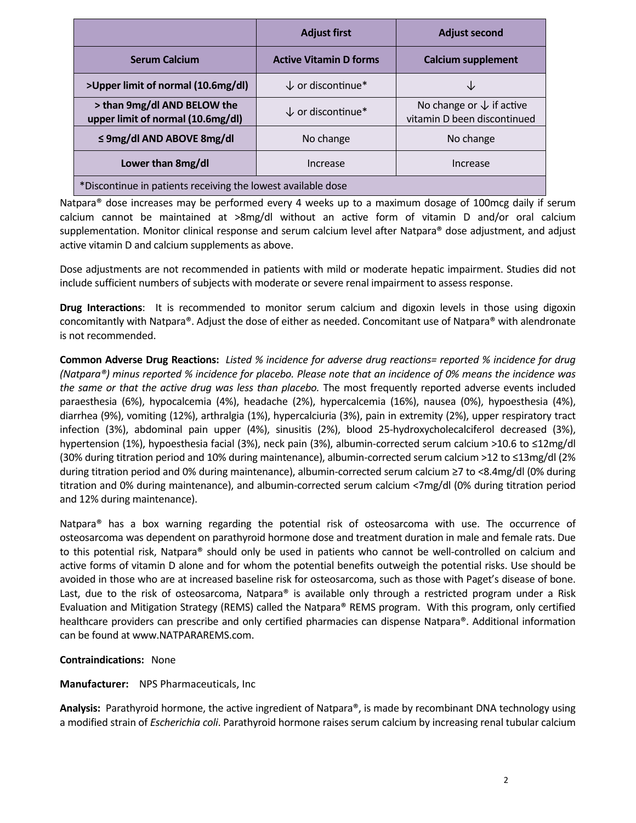|                                                                  | <b>Adjust first</b>           | <b>Adjust second</b>                                               |
|------------------------------------------------------------------|-------------------------------|--------------------------------------------------------------------|
| <b>Serum Calcium</b>                                             | <b>Active Vitamin D forms</b> | <b>Calcium supplement</b>                                          |
| >Upper limit of normal (10.6mg/dl)                               | $\downarrow$ or discontinue*  |                                                                    |
| > than 9mg/dl AND BELOW the<br>upper limit of normal (10.6mg/dl) | $\downarrow$ or discontinue*  | No change or $\downarrow$ if active<br>vitamin D been discontinued |
| $\leq$ 9mg/dl AND ABOVE 8mg/dl                                   | No change                     | No change                                                          |
| Lower than 8mg/dl                                                | Increase                      | Increase                                                           |
| *Discontinue in patients receiving the lowest available dose     |                               |                                                                    |

Natpara® dose increases may be performed every 4 weeks up to a maximum dosage of 100mcg daily if serum calcium cannot be maintained at >8mg/dl without an active form of vitamin D and/or oral calcium supplementation. Monitor clinical response and serum calcium level after Natpara® dose adjustment, and adjust active vitamin D and calcium supplements as above.

Dose adjustments are not recommended in patients with mild or moderate hepatic impairment. Studies did not include sufficient numbers of subjects with moderate or severe renal impairment to assess response.

**Drug Interactions**: It is recommended to monitor serum calcium and digoxin levels in those using digoxin concomitantly with Natpara®. Adjust the dose of either as needed. Concomitant use of Natpara® with alendronate is not recommended.

Common Adverse Drug Reactions: Listed % incidence for adverse drug reactions= reported % incidence for drug (Natpara®) minus reported % incidence for placebo. Please note that an incidence of 0% means the incidence was *the same or that the active drug was less than placebo.* The most frequently reported adverse events included paraesthesia (6%), hypocalcemia (4%), headache (2%), hypercalcemia (16%), nausea (0%), hypoesthesia (4%), diarrhea (9%), vomiting (12%), arthralgia (1%), hypercalciuria (3%), pain in extremity (2%), upper respiratory tract infection (3%), abdominal pain upper (4%), sinusitis (2%), blood 25‐hydroxycholecalciferol decreased (3%), hypertension (1%), hypoesthesia facial (3%), neck pain (3%), albumin‐corrected serum calcium ˃10.6 to ≤12mg/dl (30% during titration period and 10% during maintenance), albumin‐corrected serum calcium ˃12 to ≤13mg/dl (2% during titration period and 0% during maintenance), albumin‐corrected serum calcium ≥7 to <8.4mg/dl (0% during titration and 0% during maintenance), and albumin‐corrected serum calcium <7mg/dl (0% during titration period and 12% during maintenance).

Natpara® has a box warning regarding the potential risk of osteosarcoma with use. The occurrence of osteosarcoma was dependent on parathyroid hormone dose and treatment duration in male and female rats. Due to this potential risk, Natpara® should only be used in patients who cannot be well‐controlled on calcium and active forms of vitamin D alone and for whom the potential benefits outweigh the potential risks. Use should be avoided in those who are at increased baseline risk for osteosarcoma, such as those with Paget's disease of bone. Last, due to the risk of osteosarcoma, Natpara<sup>®</sup> is available only through a restricted program under a Risk Evaluation and Mitigation Strategy (REMS) called the Natpara® REMS program. With this program, only certified healthcare providers can prescribe and only certified pharmacies can dispense Natpara®. Additional information can be found at www.NATPARAREMS.com.

**Contraindications:**  None

**Manufacturer:** NPS Pharmaceuticals, Inc

Analysis: Parathyroid hormone, the active ingredient of Natpara®, is made by recombinant DNA technology using a modified strain of *Escherichia coli*. Parathyroid hormone raises serum calcium by increasing renal tubular calcium